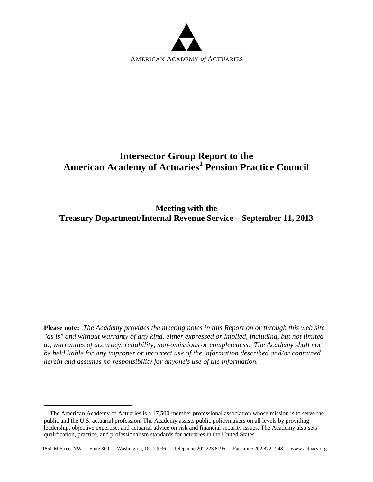

# **Intersector Group Report to the American Academy of Actuaries[1](#page-0-0) Pension Practice Council**

**Meeting with the Treasury Department/Internal Revenue Service – September 11, 2013**

**Please note:** *The Academy provides the meeting notes in this Report on or through this web site "as is" and without warranty of any kind, either expressed or implied, including, but not limited to, warranties of accuracy, reliability, non-omissions or completeness. The Academy shall not be held liable for any improper or incorrect use of the information described and/or contained herein and assumes no responsibility for anyone's use of the information.* 

 $\overline{a}$ 

<span id="page-0-0"></span> $1$  The American Academy of Actuaries is a 17,500-member professional association whose mission is to serve the public and the U.S. actuarial profession. The Academy assists public policymakers on all levels by providing leadership, objective expertise, and actuarial advice on risk and financial security issues. The Academy also sets qualification, practice, and professionalism standards for actuaries in the United States.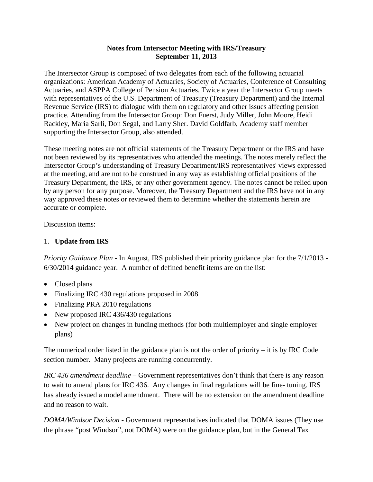The Intersector Group is composed of two delegates from each of the following actuarial organizations: American Academy of Actuaries, Society of Actuaries, Conference of Consulting Actuaries, and ASPPA College of Pension Actuaries. Twice a year the Intersector Group meets with representatives of the U.S. Department of Treasury (Treasury Department) and the Internal Revenue Service (IRS) to dialogue with them on regulatory and other issues affecting pension practice. Attending from the Intersector Group: Don Fuerst, Judy Miller, John Moore, Heidi Rackley, Maria Sarli, Don Segal, and Larry Sher. David Goldfarb, Academy staff member supporting the Intersector Group, also attended.

These meeting notes are not official statements of the Treasury Department or the IRS and have not been reviewed by its representatives who attended the meetings. The notes merely reflect the Intersector Group's understanding of Treasury Department/IRS representatives' views expressed at the meeting, and are not to be construed in any way as establishing official positions of the Treasury Department, the IRS, or any other government agency. The notes cannot be relied upon by any person for any purpose. Moreover, the Treasury Department and the IRS have not in any way approved these notes or reviewed them to determine whether the statements herein are accurate or complete.

Discussion items:

## 1. **Update from IRS**

*Priority Guidance Plan* - In August, IRS published their priority guidance plan for the 7/1/2013 - 6/30/2014 guidance year. A number of defined benefit items are on the list:

- Closed plans
- Finalizing IRC 430 regulations proposed in 2008
- Finalizing PRA 2010 regulations
- New proposed IRC 436/430 regulations
- New project on changes in funding methods (for both multiemployer and single employer plans)

The numerical order listed in the guidance plan is not the order of priority – it is by IRC Code section number. Many projects are running concurrently.

*IRC 436 amendment deadline* – Government representatives don't think that there is any reason to wait to amend plans for IRC 436. Any changes in final regulations will be fine- tuning. IRS has already issued a model amendment. There will be no extension on the amendment deadline and no reason to wait.

*DOMA/Windsor Decision* - Government representatives indicated that DOMA issues (They use the phrase "post Windsor", not DOMA) were on the guidance plan, but in the General Tax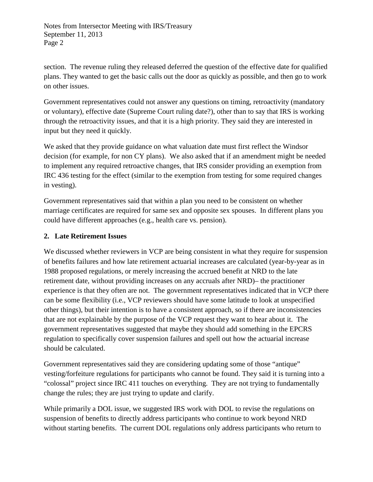section. The revenue ruling they released deferred the question of the effective date for qualified plans. They wanted to get the basic calls out the door as quickly as possible, and then go to work on other issues.

Government representatives could not answer any questions on timing, retroactivity (mandatory or voluntary), effective date (Supreme Court ruling date?), other than to say that IRS is working through the retroactivity issues, and that it is a high priority. They said they are interested in input but they need it quickly.

We asked that they provide guidance on what valuation date must first reflect the Windsor decision (for example, for non CY plans). We also asked that if an amendment might be needed to implement any required retroactive changes, that IRS consider providing an exemption from IRC 436 testing for the effect (similar to the exemption from testing for some required changes in vesting).

Government representatives said that within a plan you need to be consistent on whether marriage certificates are required for same sex and opposite sex spouses. In different plans you could have different approaches (e.g., health care vs. pension).

### **2. Late Retirement Issues**

We discussed whether reviewers in VCP are being consistent in what they require for suspension of benefits failures and how late retirement actuarial increases are calculated (year-by-year as in 1988 proposed regulations, or merely increasing the accrued benefit at NRD to the late retirement date, without providing increases on any accruals after NRD)– the practitioner experience is that they often are not. The government representatives indicated that in VCP there can be some flexibility (i.e., VCP reviewers should have some latitude to look at unspecified other things), but their intention is to have a consistent approach, so if there are inconsistencies that are not explainable by the purpose of the VCP request they want to hear about it. The government representatives suggested that maybe they should add something in the EPCRS regulation to specifically cover suspension failures and spell out how the actuarial increase should be calculated.

Government representatives said they are considering updating some of those "antique" vesting/forfeiture regulations for participants who cannot be found. They said it is turning into a "colossal" project since IRC 411 touches on everything. They are not trying to fundamentally change the rules; they are just trying to update and clarify.

While primarily a DOL issue, we suggested IRS work with DOL to revise the regulations on suspension of benefits to directly address participants who continue to work beyond NRD without starting benefits. The current DOL regulations only address participants who return to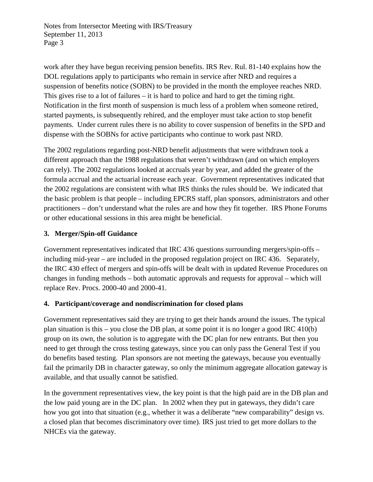work after they have begun receiving pension benefits. IRS Rev. Rul. 81-140 explains how the DOL regulations apply to participants who remain in service after NRD and requires a suspension of benefits notice (SOBN) to be provided in the month the employee reaches NRD. This gives rise to a lot of failures – it is hard to police and hard to get the timing right. Notification in the first month of suspension is much less of a problem when someone retired, started payments, is subsequently rehired, and the employer must take action to stop benefit payments. Under current rules there is no ability to cover suspension of benefits in the SPD and dispense with the SOBNs for active participants who continue to work past NRD.

The 2002 regulations regarding post-NRD benefit adjustments that were withdrawn took a different approach than the 1988 regulations that weren't withdrawn (and on which employers can rely). The 2002 regulations looked at accruals year by year, and added the greater of the formula accrual and the actuarial increase each year. Government representatives indicated that the 2002 regulations are consistent with what IRS thinks the rules should be. We indicated that the basic problem is that people – including EPCRS staff, plan sponsors, administrators and other practitioners – don't understand what the rules are and how they fit together. IRS Phone Forums or other educational sessions in this area might be beneficial.

## **3. Merger/Spin-off Guidance**

Government representatives indicated that IRC 436 questions surrounding mergers/spin-offs – including mid-year – are included in the proposed regulation project on IRC 436. Separately, the IRC 430 effect of mergers and spin-offs will be dealt with in updated Revenue Procedures on changes in funding methods – both automatic approvals and requests for approval – which will replace Rev. Procs. 2000-40 and 2000-41.

#### **4. Participant/coverage and nondiscrimination for closed plans**

Government representatives said they are trying to get their hands around the issues. The typical plan situation is this – you close the DB plan, at some point it is no longer a good IRC 410(b) group on its own, the solution is to aggregate with the DC plan for new entrants. But then you need to get through the cross testing gateways, since you can only pass the General Test if you do benefits based testing. Plan sponsors are not meeting the gateways, because you eventually fail the primarily DB in character gateway, so only the minimum aggregate allocation gateway is available, and that usually cannot be satisfied.

In the government representatives view, the key point is that the high paid are in the DB plan and the low paid young are in the DC plan. In 2002 when they put in gateways, they didn't care how you got into that situation (e.g., whether it was a deliberate "new comparability" design vs. a closed plan that becomes discriminatory over time). IRS just tried to get more dollars to the NHCEs via the gateway.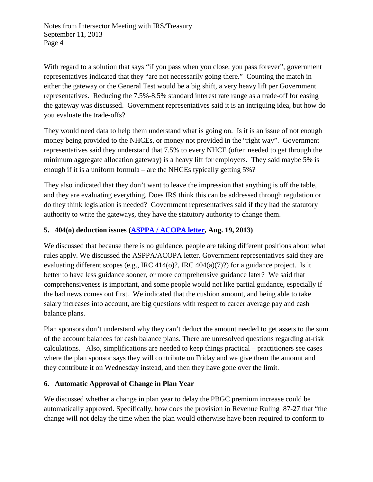With regard to a solution that says "if you pass when you close, you pass forever", government representatives indicated that they "are not necessarily going there." Counting the match in either the gateway or the General Test would be a big shift, a very heavy lift per Government representatives. Reducing the 7.5%-8.5% standard interest rate range as a trade-off for easing the gateway was discussed. Government representatives said it is an intriguing idea, but how do you evaluate the trade-offs?

They would need data to help them understand what is going on. Is it is an issue of not enough money being provided to the NHCEs, or money not provided in the "right way". Government representatives said they understand that 7.5% to every NHCE (often needed to get through the minimum aggregate allocation gateway) is a heavy lift for employers. They said maybe 5% is enough if it is a uniform formula – are the NHCEs typically getting 5%?

They also indicated that they don't want to leave the impression that anything is off the table, and they are evaluating everything. Does IRS think this can be addressed through regulation or do they think legislation is needed? Government representatives said if they had the statutory authority to write the gateways, they have the statutory authority to change them.

### **5. 404(o) deduction issues [\(ASPPA / ACOPA letter,](http://www.asppa.org/Document-Vault/Docs/GAC/Comment-Letter-81913.ASPX) Aug. 19, 2013)**

We discussed that because there is no guidance, people are taking different positions about what rules apply. We discussed the ASPPA/ACOPA letter. Government representatives said they are evaluating different scopes (e.g., IRC 414(o)?, IRC 404(a)(7)?) for a guidance project. Is it better to have less guidance sooner, or more comprehensive guidance later? We said that comprehensiveness is important, and some people would not like partial guidance, especially if the bad news comes out first. We indicated that the cushion amount, and being able to take salary increases into account, are big questions with respect to career average pay and cash balance plans.

Plan sponsors don't understand why they can't deduct the amount needed to get assets to the sum of the account balances for cash balance plans. There are unresolved questions regarding at-risk calculations. Also, simplifications are needed to keep things practical – practitioners see cases where the plan sponsor says they will contribute on Friday and we give them the amount and they contribute it on Wednesday instead, and then they have gone over the limit.

#### **6. Automatic Approval of Change in Plan Year**

We discussed whether a change in plan year to delay the PBGC premium increase could be automatically approved. Specifically, how does the provision in Revenue Ruling 87-27 that "the change will not delay the time when the plan would otherwise have been required to conform to